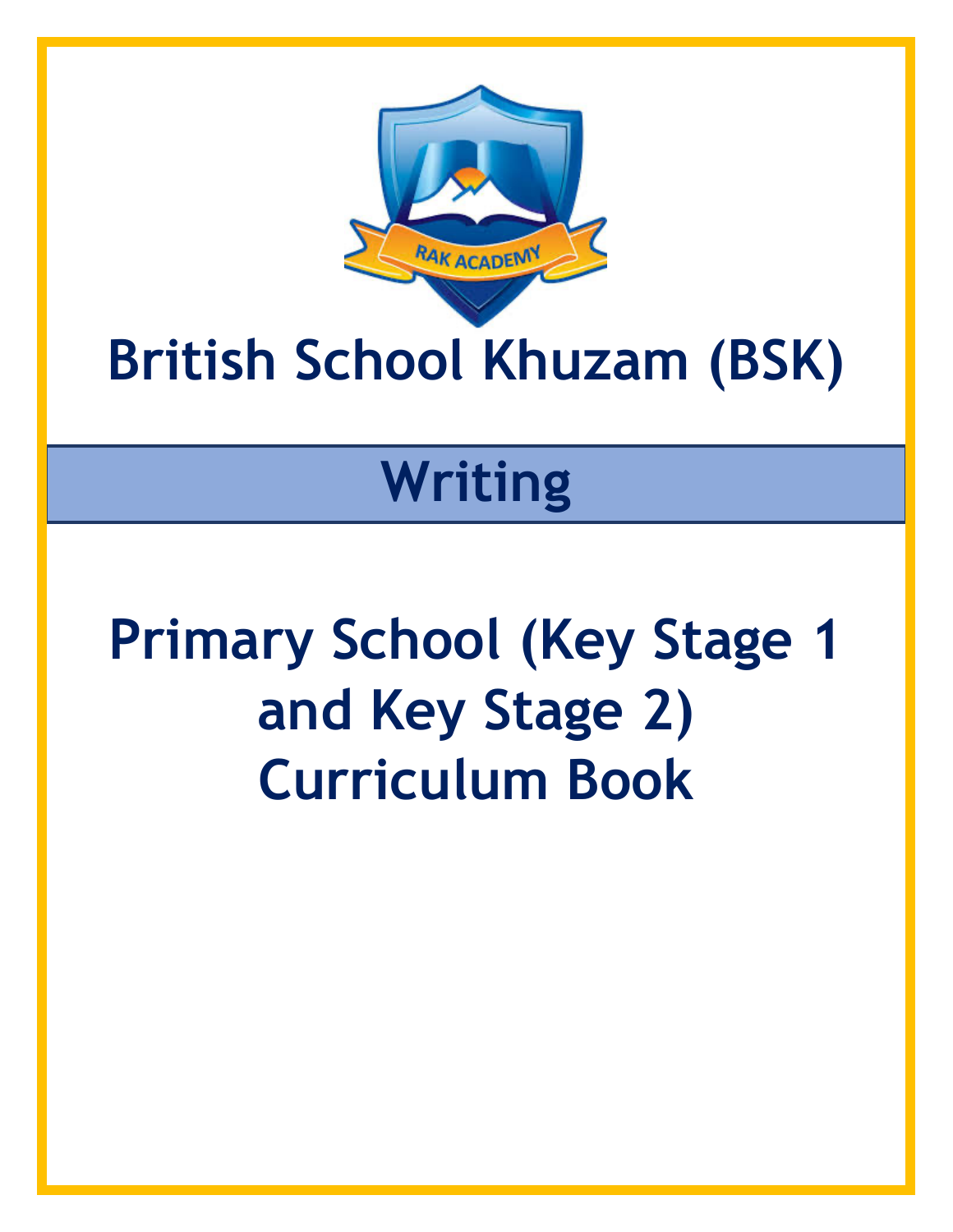

## **British School Khuzam (BSK)**

## **Writing**

# **Primary School (Key Stage 1 and Key Stage 2) Curriculum Book**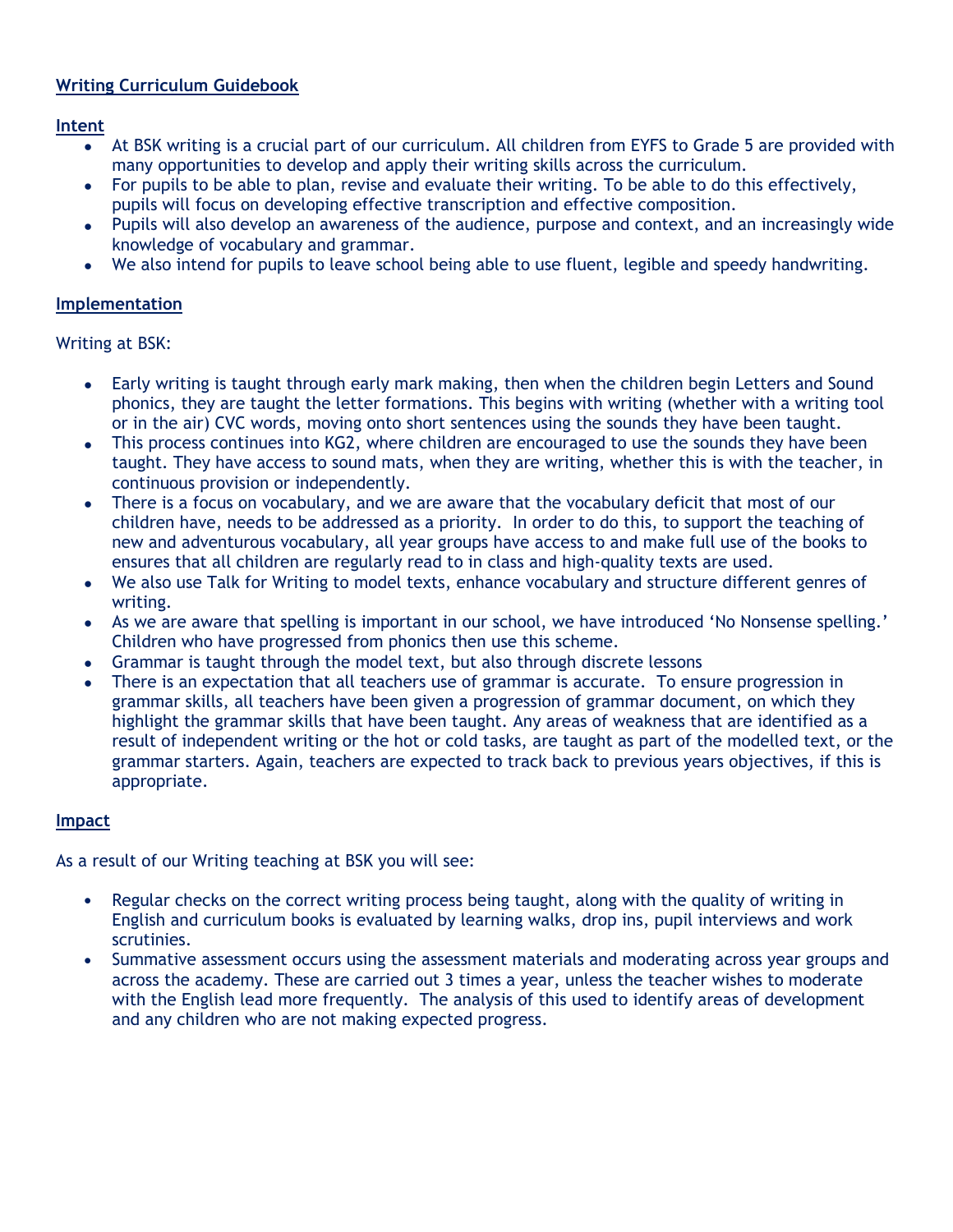### **Writing Curriculum Guidebook**

**Intent**

- At BSK writing is a crucial part of our curriculum. All children from EYFS to Grade 5 are provided with many opportunities to develop and apply their writing skills across the curriculum.
- For pupils to be able to plan, revise and evaluate their writing. To be able to do this effectively, pupils will focus on developing effective transcription and effective composition.
- Pupils will also develop an awareness of the audience, purpose and context, and an increasingly wide knowledge of vocabulary and grammar.
- We also intend for pupils to leave school being able to use fluent, legible and speedy handwriting.

#### **Implementation**

Writing at BSK:

- Early writing is taught through early mark making, then when the children begin Letters and Sound phonics, they are taught the letter formations. This begins with writing (whether with a writing tool or in the air) CVC words, moving onto short sentences using the sounds they have been taught.
- This process continues into KG2, where children are encouraged to use the sounds they have been taught. They have access to sound mats, when they are writing, whether this is with the teacher, in continuous provision or independently.
- There is a focus on vocabulary, and we are aware that the vocabulary deficit that most of our children have, needs to be addressed as a priority. In order to do this, to support the teaching of new and adventurous vocabulary, all year groups have access to and make full use of the books to ensures that all children are regularly read to in class and high-quality texts are used.
- We also use Talk for Writing to model texts, enhance vocabulary and structure different genres of writing.
- As we are aware that spelling is important in our school, we have introduced 'No Nonsense spelling.' Children who have progressed from phonics then use this scheme.
- Grammar is taught through the model text, but also through discrete lessons
- There is an expectation that all teachers use of grammar is accurate. To ensure progression in grammar skills, all teachers have been given a progression of grammar document, on which they highlight the grammar skills that have been taught. Any areas of weakness that are identified as a result of independent writing or the hot or cold tasks, are taught as part of the modelled text, or the grammar starters. Again, teachers are expected to track back to previous years objectives, if this is appropriate.

#### **Impact**

As a result of our Writing teaching at BSK you will see:

- Regular checks on the correct writing process being taught, along with the quality of writing in English and curriculum books is evaluated by learning walks, drop ins, pupil interviews and work scrutinies.
- Summative assessment occurs using the assessment materials and moderating across year groups and across the academy. These are carried out 3 times a year, unless the teacher wishes to moderate with the English lead more frequently. The analysis of this used to identify areas of development and any children who are not making expected progress.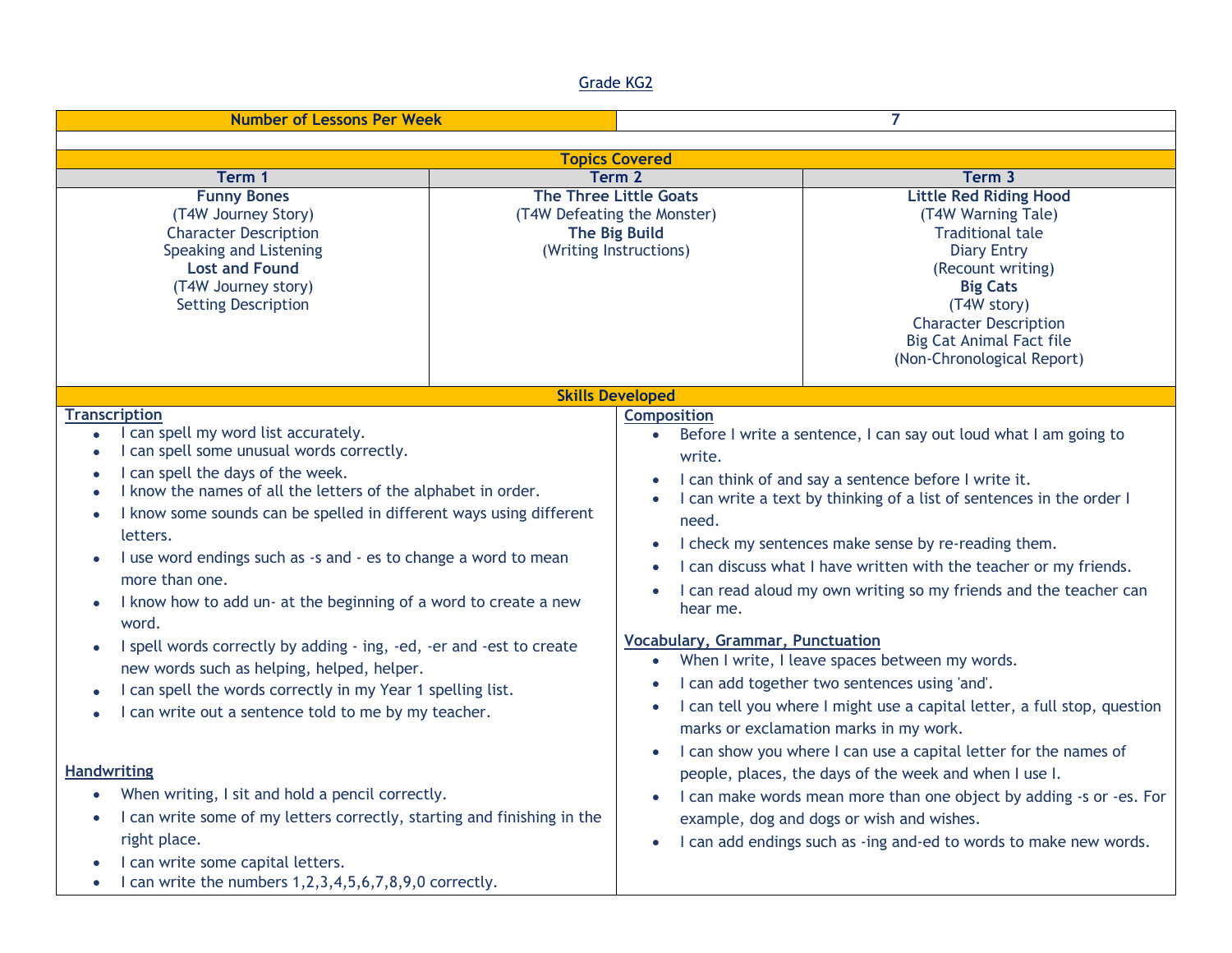#### Grade KG2

| <b>Number of Lessons Per Week</b>                                                                                                                                                                                                                                                                                                                                                                                                                                                                                                                                                                                                                                                                                                                                                                                                                                                                                                                                                                                            |  | 7                                                                                                                                   |                                                                                                                                                                                                                                                                                                                                                                                                                                                                                                                                                                                                                                                                                                                                                                                                                                                                                                                                                   |  |
|------------------------------------------------------------------------------------------------------------------------------------------------------------------------------------------------------------------------------------------------------------------------------------------------------------------------------------------------------------------------------------------------------------------------------------------------------------------------------------------------------------------------------------------------------------------------------------------------------------------------------------------------------------------------------------------------------------------------------------------------------------------------------------------------------------------------------------------------------------------------------------------------------------------------------------------------------------------------------------------------------------------------------|--|-------------------------------------------------------------------------------------------------------------------------------------|---------------------------------------------------------------------------------------------------------------------------------------------------------------------------------------------------------------------------------------------------------------------------------------------------------------------------------------------------------------------------------------------------------------------------------------------------------------------------------------------------------------------------------------------------------------------------------------------------------------------------------------------------------------------------------------------------------------------------------------------------------------------------------------------------------------------------------------------------------------------------------------------------------------------------------------------------|--|
|                                                                                                                                                                                                                                                                                                                                                                                                                                                                                                                                                                                                                                                                                                                                                                                                                                                                                                                                                                                                                              |  |                                                                                                                                     |                                                                                                                                                                                                                                                                                                                                                                                                                                                                                                                                                                                                                                                                                                                                                                                                                                                                                                                                                   |  |
| <b>Topics Covered</b><br>Term <sub>2</sub><br>Term 3<br>Term 1                                                                                                                                                                                                                                                                                                                                                                                                                                                                                                                                                                                                                                                                                                                                                                                                                                                                                                                                                               |  |                                                                                                                                     |                                                                                                                                                                                                                                                                                                                                                                                                                                                                                                                                                                                                                                                                                                                                                                                                                                                                                                                                                   |  |
| <b>Funny Bones</b><br>(T4W Journey Story)<br><b>Character Description</b><br>Speaking and Listening<br><b>Lost and Found</b><br>(T4W Journey story)<br><b>Setting Description</b>                                                                                                                                                                                                                                                                                                                                                                                                                                                                                                                                                                                                                                                                                                                                                                                                                                            |  | <b>The Three Little Goats</b><br>(T4W Defeating the Monster)<br><b>The Big Build</b><br>(Writing Instructions)                      | <b>Little Red Riding Hood</b><br>(T4W Warning Tale)<br><b>Traditional tale</b><br><b>Diary Entry</b><br>(Recount writing)<br><b>Big Cats</b><br>(T4W story)<br><b>Character Description</b><br><b>Big Cat Animal Fact file</b><br>(Non-Chronological Report)                                                                                                                                                                                                                                                                                                                                                                                                                                                                                                                                                                                                                                                                                      |  |
|                                                                                                                                                                                                                                                                                                                                                                                                                                                                                                                                                                                                                                                                                                                                                                                                                                                                                                                                                                                                                              |  | <b>Skills Developed</b>                                                                                                             |                                                                                                                                                                                                                                                                                                                                                                                                                                                                                                                                                                                                                                                                                                                                                                                                                                                                                                                                                   |  |
| <b>Transcription</b><br>I can spell my word list accurately.<br>$\bullet$<br>I can spell some unusual words correctly.<br>$\bullet$<br>I can spell the days of the week.<br>I know the names of all the letters of the alphabet in order.<br>I know some sounds can be spelled in different ways using different<br>letters.<br>I use word endings such as -s and - es to change a word to mean<br>more than one.<br>I know how to add un- at the beginning of a word to create a new<br>word.<br>I spell words correctly by adding - ing, -ed, -er and -est to create<br>new words such as helping, helped, helper.<br>I can spell the words correctly in my Year 1 spelling list.<br>I can write out a sentence told to me by my teacher.<br><b>Handwriting</b><br>When writing, I sit and hold a pencil correctly.<br>I can write some of my letters correctly, starting and finishing in the<br>$\bullet$<br>right place.<br>I can write some capital letters.<br>I can write the numbers 1,2,3,4,5,6,7,8,9,0 correctly. |  | <b>Composition</b><br>write.<br>need.<br>$\bullet$<br>hear me.<br><b>Vocabulary, Grammar, Punctuation</b><br>$\bullet$<br>$\bullet$ | Before I write a sentence, I can say out loud what I am going to<br>I can think of and say a sentence before I write it.<br>I can write a text by thinking of a list of sentences in the order I<br>I check my sentences make sense by re-reading them.<br>I can discuss what I have written with the teacher or my friends.<br>I can read aloud my own writing so my friends and the teacher can<br>When I write, I leave spaces between my words.<br>I can add together two sentences using 'and'.<br>I can tell you where I might use a capital letter, a full stop, question<br>marks or exclamation marks in my work.<br>I can show you where I can use a capital letter for the names of<br>people, places, the days of the week and when I use I.<br>I can make words mean more than one object by adding -s or -es. For<br>example, dog and dogs or wish and wishes.<br>I can add endings such as -ing and-ed to words to make new words. |  |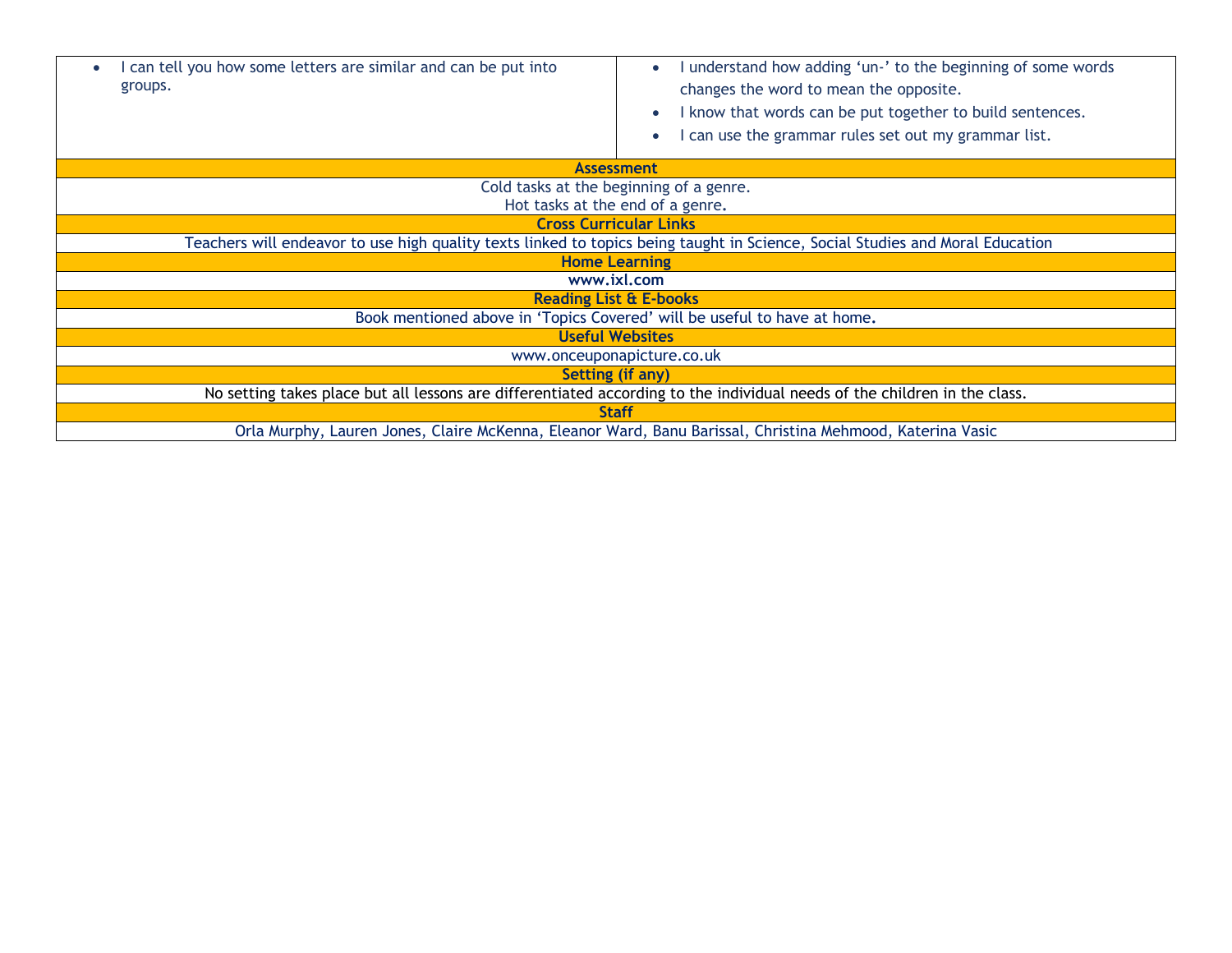| can tell you how some letters are similar and can be put into<br>$\bullet$<br>groups.                                         | understand how adding 'un-' to the beginning of some words<br>changes the word to mean the opposite.<br>I know that words can be put together to build sentences.<br>can use the grammar rules set out my grammar list. |  |
|-------------------------------------------------------------------------------------------------------------------------------|-------------------------------------------------------------------------------------------------------------------------------------------------------------------------------------------------------------------------|--|
| <b>Assessment</b>                                                                                                             |                                                                                                                                                                                                                         |  |
| Cold tasks at the beginning of a genre.                                                                                       |                                                                                                                                                                                                                         |  |
| Hot tasks at the end of a genre.                                                                                              |                                                                                                                                                                                                                         |  |
| <b>Cross Curricular Links</b>                                                                                                 |                                                                                                                                                                                                                         |  |
| Teachers will endeavor to use high quality texts linked to topics being taught in Science, Social Studies and Moral Education |                                                                                                                                                                                                                         |  |
| <b>Home Learning</b>                                                                                                          |                                                                                                                                                                                                                         |  |
| www.ixl.com                                                                                                                   |                                                                                                                                                                                                                         |  |
| <b>Reading List &amp; E-books</b>                                                                                             |                                                                                                                                                                                                                         |  |
| Book mentioned above in 'Topics Covered' will be useful to have at home.                                                      |                                                                                                                                                                                                                         |  |
| <b>Useful Websites</b>                                                                                                        |                                                                                                                                                                                                                         |  |
| www.onceuponapicture.co.uk                                                                                                    |                                                                                                                                                                                                                         |  |
| Setting (if any)                                                                                                              |                                                                                                                                                                                                                         |  |
| No setting takes place but all lessons are differentiated according to the individual needs of the children in the class.     |                                                                                                                                                                                                                         |  |
| <b>Staff</b>                                                                                                                  |                                                                                                                                                                                                                         |  |
| Orla Murphy, Lauren Jones, Claire McKenna, Eleanor Ward, Banu Barissal, Christina Mehmood, Katerina Vasic                     |                                                                                                                                                                                                                         |  |
|                                                                                                                               |                                                                                                                                                                                                                         |  |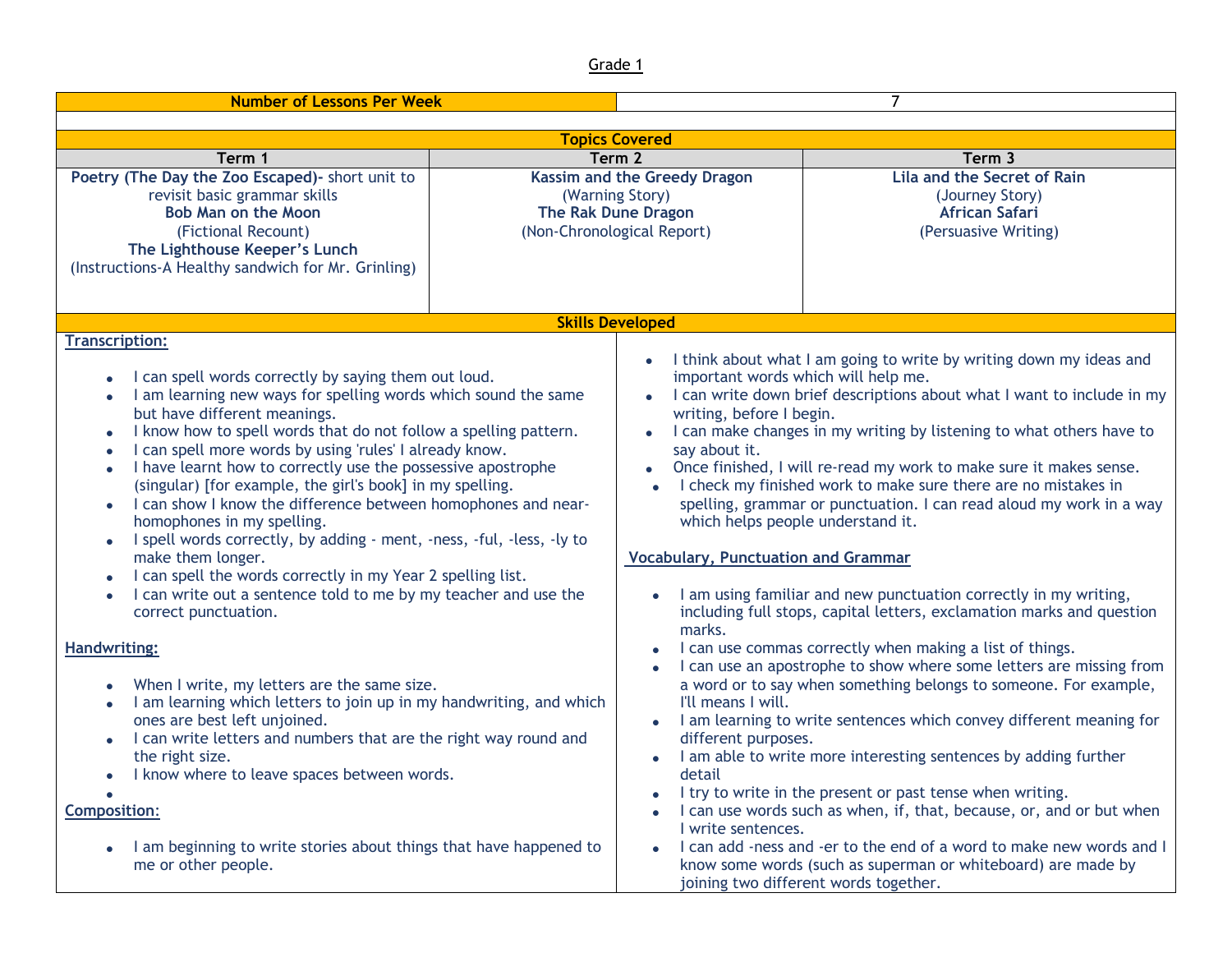| <b>Number of Lessons Per Week</b>                                                                                                                                                                                                                                                                                                                                                                                                                                                                                                                                                                                                                                                                                                                                                                                                                      |  |                                                                                                                                                                                                                                                                                                                                                                                                                                                                                                                                                                                                                                                                                                                                                                                                                                |                                                                                                                                                                                                                                                                                                                                                                                                                                                                                                                                                                                                         |  |
|--------------------------------------------------------------------------------------------------------------------------------------------------------------------------------------------------------------------------------------------------------------------------------------------------------------------------------------------------------------------------------------------------------------------------------------------------------------------------------------------------------------------------------------------------------------------------------------------------------------------------------------------------------------------------------------------------------------------------------------------------------------------------------------------------------------------------------------------------------|--|--------------------------------------------------------------------------------------------------------------------------------------------------------------------------------------------------------------------------------------------------------------------------------------------------------------------------------------------------------------------------------------------------------------------------------------------------------------------------------------------------------------------------------------------------------------------------------------------------------------------------------------------------------------------------------------------------------------------------------------------------------------------------------------------------------------------------------|---------------------------------------------------------------------------------------------------------------------------------------------------------------------------------------------------------------------------------------------------------------------------------------------------------------------------------------------------------------------------------------------------------------------------------------------------------------------------------------------------------------------------------------------------------------------------------------------------------|--|
|                                                                                                                                                                                                                                                                                                                                                                                                                                                                                                                                                                                                                                                                                                                                                                                                                                                        |  |                                                                                                                                                                                                                                                                                                                                                                                                                                                                                                                                                                                                                                                                                                                                                                                                                                |                                                                                                                                                                                                                                                                                                                                                                                                                                                                                                                                                                                                         |  |
| <b>Topics Covered</b><br>Term <sub>2</sub><br>Term 3                                                                                                                                                                                                                                                                                                                                                                                                                                                                                                                                                                                                                                                                                                                                                                                                   |  |                                                                                                                                                                                                                                                                                                                                                                                                                                                                                                                                                                                                                                                                                                                                                                                                                                |                                                                                                                                                                                                                                                                                                                                                                                                                                                                                                                                                                                                         |  |
| Term 1<br>Poetry (The Day the Zoo Escaped) - short unit to<br>revisit basic grammar skills<br><b>Bob Man on the Moon</b><br>(Fictional Recount)<br>The Lighthouse Keeper's Lunch<br>(Instructions-A Healthy sandwich for Mr. Grinling)                                                                                                                                                                                                                                                                                                                                                                                                                                                                                                                                                                                                                 |  | <b>Kassim and the Greedy Dragon</b><br>(Warning Story)<br>The Rak Dune Dragon<br>(Non-Chronological Report)                                                                                                                                                                                                                                                                                                                                                                                                                                                                                                                                                                                                                                                                                                                    | Lila and the Secret of Rain<br>(Journey Story)<br><b>African Safari</b><br>(Persuasive Writing)                                                                                                                                                                                                                                                                                                                                                                                                                                                                                                         |  |
|                                                                                                                                                                                                                                                                                                                                                                                                                                                                                                                                                                                                                                                                                                                                                                                                                                                        |  | <b>Skills Developed</b>                                                                                                                                                                                                                                                                                                                                                                                                                                                                                                                                                                                                                                                                                                                                                                                                        |                                                                                                                                                                                                                                                                                                                                                                                                                                                                                                                                                                                                         |  |
| <b>Transcription:</b><br>I can spell words correctly by saying them out loud.<br>I am learning new ways for spelling words which sound the same<br>$\bullet$<br>but have different meanings.<br>I know how to spell words that do not follow a spelling pattern.<br>I can spell more words by using 'rules' I already know.<br>$\bullet$<br>I have learnt how to correctly use the possessive apostrophe<br>(singular) [for example, the girl's book] in my spelling.<br>I can show I know the difference between homophones and near-<br>$\bullet$<br>homophones in my spelling.<br>I spell words correctly, by adding - ment, -ness, -ful, -less, -ly to<br>$\bullet$<br>make them longer.<br>I can spell the words correctly in my Year 2 spelling list.<br>I can write out a sentence told to me by my teacher and use the<br>correct punctuation. |  | I think about what I am going to write by writing down my ideas and<br>important words which will help me.<br>I can write down brief descriptions about what I want to include in my<br>writing, before I begin.<br>I can make changes in my writing by listening to what others have to<br>say about it.<br>Once finished, I will re-read my work to make sure it makes sense.<br>I check my finished work to make sure there are no mistakes in<br>spelling, grammar or punctuation. I can read aloud my work in a way<br>which helps people understand it.<br><b>Vocabulary, Punctuation and Grammar</b><br>I am using familiar and new punctuation correctly in my writing,<br>including full stops, capital letters, exclamation marks and question<br>marks.<br>I can use commas correctly when making a list of things. |                                                                                                                                                                                                                                                                                                                                                                                                                                                                                                                                                                                                         |  |
| <b>Handwriting:</b><br>When I write, my letters are the same size.<br>$\bullet$<br>I am learning which letters to join up in my handwriting, and which<br>ones are best left unjoined.<br>I can write letters and numbers that are the right way round and<br>the right size.<br>I know where to leave spaces between words.<br><b>Composition:</b><br>I am beginning to write stories about things that have happened to<br>me or other people.                                                                                                                                                                                                                                                                                                                                                                                                       |  | I'll means I will.<br>$\bullet$<br>different purposes.<br>detail<br>I write sentences.                                                                                                                                                                                                                                                                                                                                                                                                                                                                                                                                                                                                                                                                                                                                         | I can use an apostrophe to show where some letters are missing from<br>a word or to say when something belongs to someone. For example,<br>I am learning to write sentences which convey different meaning for<br>I am able to write more interesting sentences by adding further<br>I try to write in the present or past tense when writing.<br>I can use words such as when, if, that, because, or, and or but when<br>I can add -ness and -er to the end of a word to make new words and I<br>know some words (such as superman or whiteboard) are made by<br>joining two different words together. |  |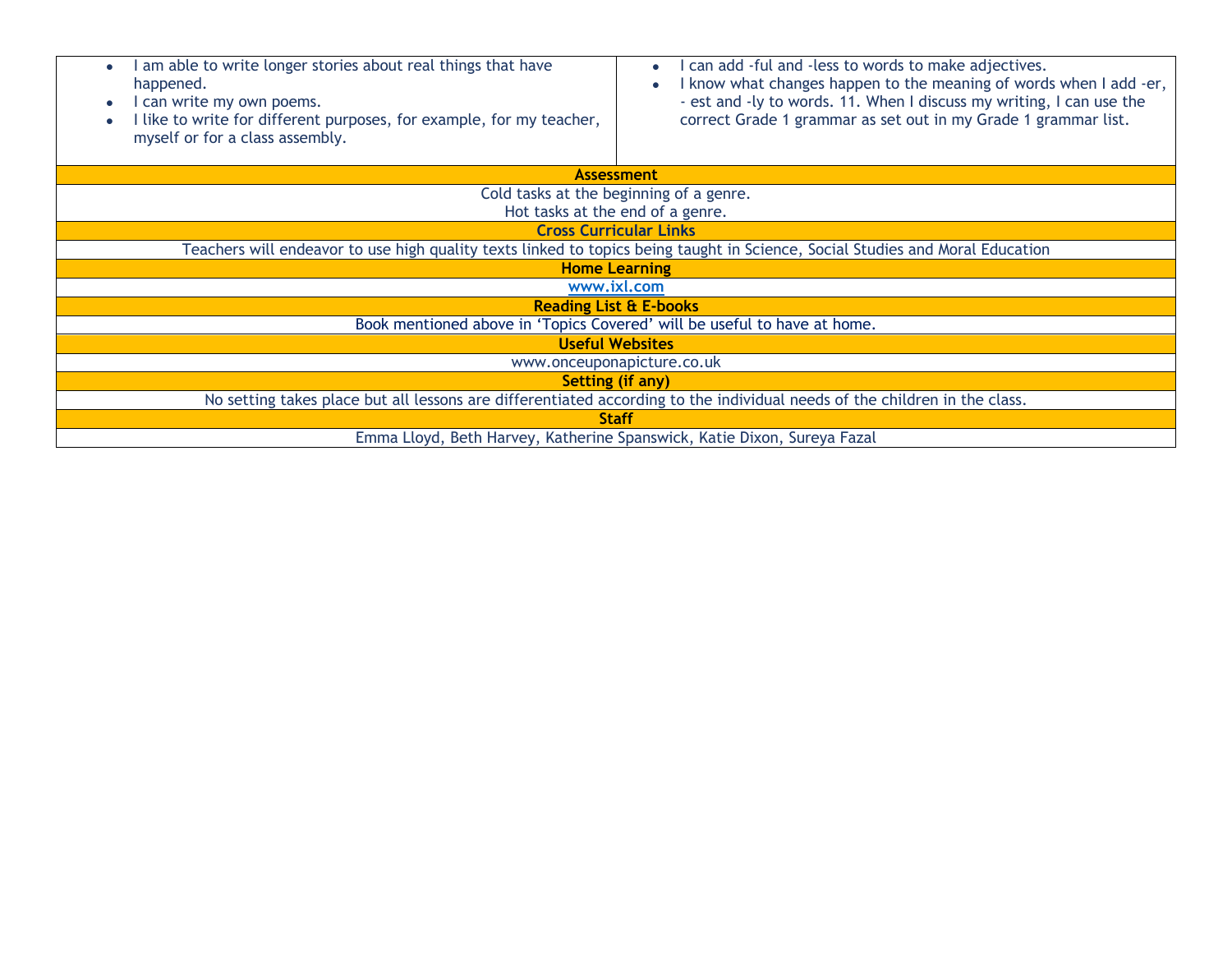| am able to write longer stories about real things that have<br>happened.<br>I can write my own poems.<br>I like to write for different purposes, for example, for my teacher,<br>myself or for a class assembly. | I can add -ful and -less to words to make adjectives.<br>I know what changes happen to the meaning of words when I add -er,<br>- est and -ly to words. 11. When I discuss my writing, I can use the<br>correct Grade 1 grammar as set out in my Grade 1 grammar list. |  |  |  |
|------------------------------------------------------------------------------------------------------------------------------------------------------------------------------------------------------------------|-----------------------------------------------------------------------------------------------------------------------------------------------------------------------------------------------------------------------------------------------------------------------|--|--|--|
| <b>Assessment</b>                                                                                                                                                                                                |                                                                                                                                                                                                                                                                       |  |  |  |
| Cold tasks at the beginning of a genre.                                                                                                                                                                          |                                                                                                                                                                                                                                                                       |  |  |  |
| Hot tasks at the end of a genre.                                                                                                                                                                                 |                                                                                                                                                                                                                                                                       |  |  |  |
| <b>Cross Curricular Links</b>                                                                                                                                                                                    |                                                                                                                                                                                                                                                                       |  |  |  |
| Teachers will endeavor to use high quality texts linked to topics being taught in Science, Social Studies and Moral Education                                                                                    |                                                                                                                                                                                                                                                                       |  |  |  |
| <b>Home Learning</b>                                                                                                                                                                                             |                                                                                                                                                                                                                                                                       |  |  |  |
| www.ixl.com                                                                                                                                                                                                      |                                                                                                                                                                                                                                                                       |  |  |  |
| <b>Reading List &amp; E-books</b>                                                                                                                                                                                |                                                                                                                                                                                                                                                                       |  |  |  |
| Book mentioned above in 'Topics Covered' will be useful to have at home.                                                                                                                                         |                                                                                                                                                                                                                                                                       |  |  |  |
| <b>Useful Websites</b>                                                                                                                                                                                           |                                                                                                                                                                                                                                                                       |  |  |  |
| www.onceuponapicture.co.uk                                                                                                                                                                                       |                                                                                                                                                                                                                                                                       |  |  |  |
| Setting (if any)                                                                                                                                                                                                 |                                                                                                                                                                                                                                                                       |  |  |  |
| No setting takes place but all lessons are differentiated according to the individual needs of the children in the class.                                                                                        |                                                                                                                                                                                                                                                                       |  |  |  |
| <b>Staff</b>                                                                                                                                                                                                     |                                                                                                                                                                                                                                                                       |  |  |  |
| Emma Lloyd, Beth Harvey, Katherine Spanswick, Katie Dixon, Sureya Fazal                                                                                                                                          |                                                                                                                                                                                                                                                                       |  |  |  |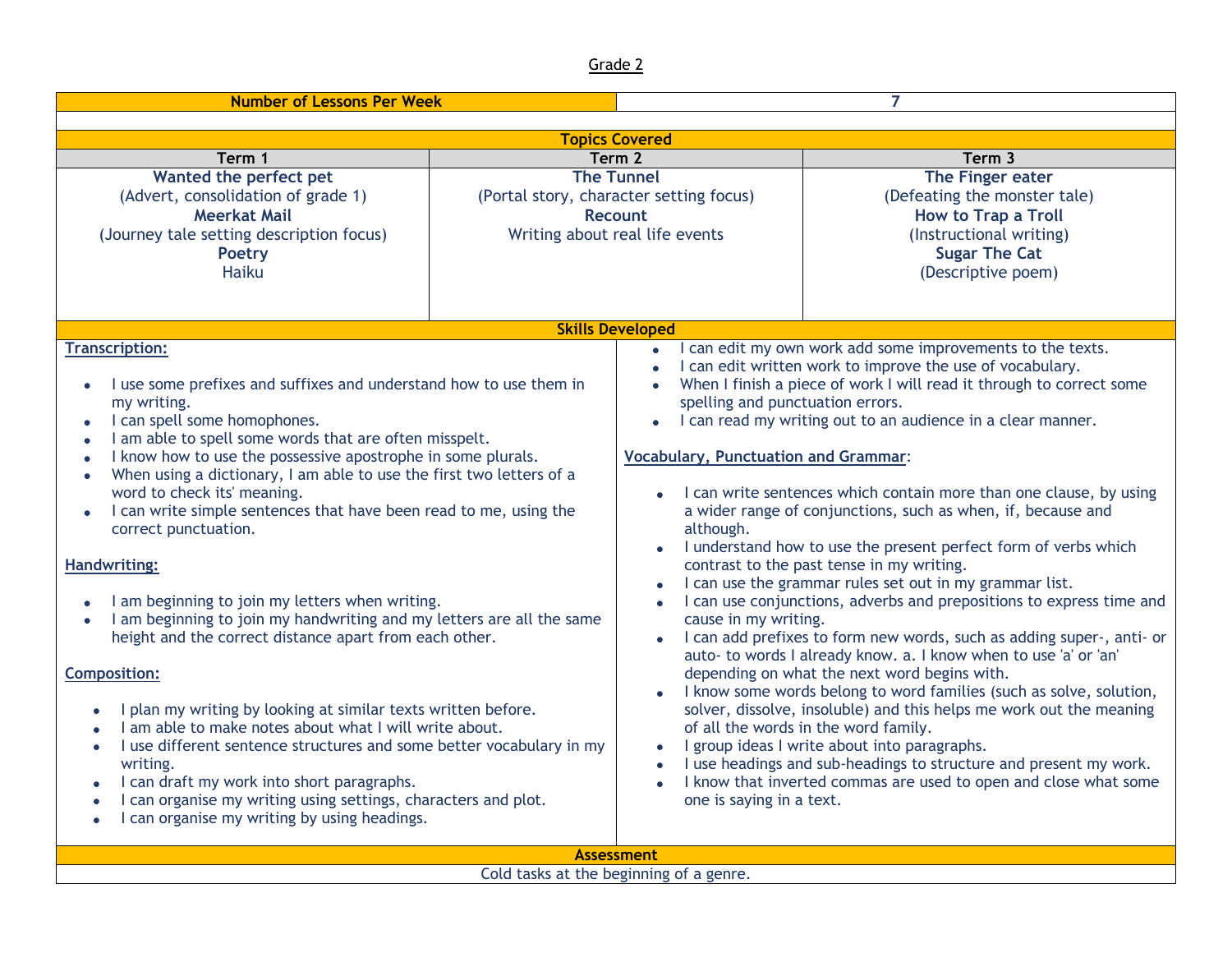| <b>Number of Lessons Per Week</b>                                                                                                                                                                                                                                                                                                                                                                                                                                                                                                                                                                                                                                                                                                                                                                                                                                                                                                                                                                                                                                                                                                                             |                                        |                                                                                                                                                  |                                                                                                                                                                                                                                                                                                                                                                                                                                                                                                                                                                                                                                                                                                                                                                                                                                                                                                                                                                                                                                                                                                                                                                                                                                       |
|---------------------------------------------------------------------------------------------------------------------------------------------------------------------------------------------------------------------------------------------------------------------------------------------------------------------------------------------------------------------------------------------------------------------------------------------------------------------------------------------------------------------------------------------------------------------------------------------------------------------------------------------------------------------------------------------------------------------------------------------------------------------------------------------------------------------------------------------------------------------------------------------------------------------------------------------------------------------------------------------------------------------------------------------------------------------------------------------------------------------------------------------------------------|----------------------------------------|--------------------------------------------------------------------------------------------------------------------------------------------------|---------------------------------------------------------------------------------------------------------------------------------------------------------------------------------------------------------------------------------------------------------------------------------------------------------------------------------------------------------------------------------------------------------------------------------------------------------------------------------------------------------------------------------------------------------------------------------------------------------------------------------------------------------------------------------------------------------------------------------------------------------------------------------------------------------------------------------------------------------------------------------------------------------------------------------------------------------------------------------------------------------------------------------------------------------------------------------------------------------------------------------------------------------------------------------------------------------------------------------------|
|                                                                                                                                                                                                                                                                                                                                                                                                                                                                                                                                                                                                                                                                                                                                                                                                                                                                                                                                                                                                                                                                                                                                                               |                                        |                                                                                                                                                  |                                                                                                                                                                                                                                                                                                                                                                                                                                                                                                                                                                                                                                                                                                                                                                                                                                                                                                                                                                                                                                                                                                                                                                                                                                       |
| <b>Topics Covered</b><br>Term 3                                                                                                                                                                                                                                                                                                                                                                                                                                                                                                                                                                                                                                                                                                                                                                                                                                                                                                                                                                                                                                                                                                                               |                                        |                                                                                                                                                  |                                                                                                                                                                                                                                                                                                                                                                                                                                                                                                                                                                                                                                                                                                                                                                                                                                                                                                                                                                                                                                                                                                                                                                                                                                       |
| Term 1<br>Wanted the perfect pet                                                                                                                                                                                                                                                                                                                                                                                                                                                                                                                                                                                                                                                                                                                                                                                                                                                                                                                                                                                                                                                                                                                              | Term <sub>2</sub><br><b>The Tunnel</b> |                                                                                                                                                  | The Finger eater                                                                                                                                                                                                                                                                                                                                                                                                                                                                                                                                                                                                                                                                                                                                                                                                                                                                                                                                                                                                                                                                                                                                                                                                                      |
| (Advert, consolidation of grade 1)<br><b>Meerkat Mail</b><br>(Journey tale setting description focus)<br><b>Poetry</b><br><b>Haiku</b>                                                                                                                                                                                                                                                                                                                                                                                                                                                                                                                                                                                                                                                                                                                                                                                                                                                                                                                                                                                                                        |                                        | (Portal story, character setting focus)<br>Recount<br>Writing about real life events                                                             | (Defeating the monster tale)<br><b>How to Trap a Troll</b><br>(Instructional writing)<br><b>Sugar The Cat</b><br>(Descriptive poem)                                                                                                                                                                                                                                                                                                                                                                                                                                                                                                                                                                                                                                                                                                                                                                                                                                                                                                                                                                                                                                                                                                   |
|                                                                                                                                                                                                                                                                                                                                                                                                                                                                                                                                                                                                                                                                                                                                                                                                                                                                                                                                                                                                                                                                                                                                                               |                                        |                                                                                                                                                  |                                                                                                                                                                                                                                                                                                                                                                                                                                                                                                                                                                                                                                                                                                                                                                                                                                                                                                                                                                                                                                                                                                                                                                                                                                       |
| <b>Skills Developed</b><br><b>Transcription:</b><br>I use some prefixes and suffixes and understand how to use them in<br>my writing.<br>I can spell some homophones.<br>I am able to spell some words that are often misspelt.<br>I know how to use the possessive apostrophe in some plurals.<br>When using a dictionary, I am able to use the first two letters of a<br>$\bullet$<br>word to check its' meaning.<br>I can write simple sentences that have been read to me, using the<br>$\bullet$<br>correct punctuation.<br><b>Handwriting:</b><br>I am beginning to join my letters when writing.<br>I am beginning to join my handwriting and my letters are all the same<br>height and the correct distance apart from each other.<br><b>Composition:</b><br>I plan my writing by looking at similar texts written before.<br>I am able to make notes about what I will write about.<br>I use different sentence structures and some better vocabulary in my<br>writing.<br>I can draft my work into short paragraphs.<br>$\bullet$<br>I can organise my writing using settings, characters and plot.<br>I can organise my writing by using headings. |                                        | spelling and punctuation errors.<br><b>Vocabulary, Punctuation and Grammar:</b><br>although.<br>cause in my writing.<br>one is saying in a text. | I can edit my own work add some improvements to the texts.<br>I can edit written work to improve the use of vocabulary.<br>When I finish a piece of work I will read it through to correct some<br>I can read my writing out to an audience in a clear manner.<br>• I can write sentences which contain more than one clause, by using<br>a wider range of conjunctions, such as when, if, because and<br>I understand how to use the present perfect form of verbs which<br>contrast to the past tense in my writing.<br>I can use the grammar rules set out in my grammar list.<br>I can use conjunctions, adverbs and prepositions to express time and<br>I can add prefixes to form new words, such as adding super-, anti- or<br>auto- to words I already know. a. I know when to use 'a' or 'an'<br>depending on what the next word begins with.<br>I know some words belong to word families (such as solve, solution,<br>solver, dissolve, insoluble) and this helps me work out the meaning<br>of all the words in the word family.<br>I group ideas I write about into paragraphs.<br>I use headings and sub-headings to structure and present my work.<br>I know that inverted commas are used to open and close what some |
| <b>Assessment</b>                                                                                                                                                                                                                                                                                                                                                                                                                                                                                                                                                                                                                                                                                                                                                                                                                                                                                                                                                                                                                                                                                                                                             |                                        |                                                                                                                                                  |                                                                                                                                                                                                                                                                                                                                                                                                                                                                                                                                                                                                                                                                                                                                                                                                                                                                                                                                                                                                                                                                                                                                                                                                                                       |

Cold tasks at the beginning of a genre.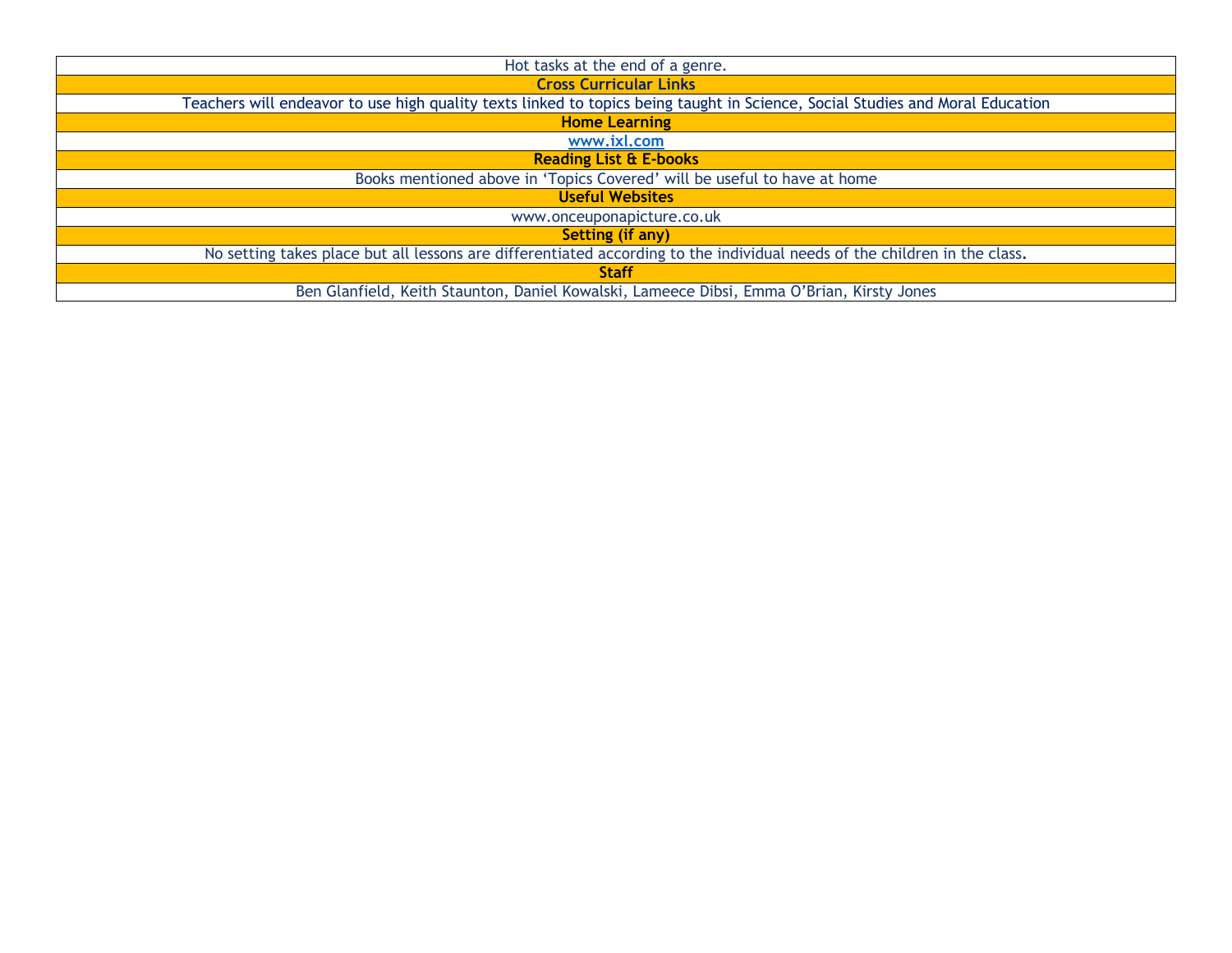| Hot tasks at the end of a genre.                                                                                              |
|-------------------------------------------------------------------------------------------------------------------------------|
| <b>Cross Curricular Links</b>                                                                                                 |
| Teachers will endeavor to use high quality texts linked to topics being taught in Science, Social Studies and Moral Education |
| <b>Home Learning</b>                                                                                                          |
| www.ixl.com                                                                                                                   |
| <b>Reading List &amp; E-books</b>                                                                                             |
| Books mentioned above in 'Topics Covered' will be useful to have at home                                                      |
| <b>Useful Websites</b>                                                                                                        |
| www.onceuponapicture.co.uk                                                                                                    |
| Setting (if any)                                                                                                              |
| No setting takes place but all lessons are differentiated according to the individual needs of the children in the class.     |
| <b>Staff</b>                                                                                                                  |
| Ben Glanfield, Keith Staunton, Daniel Kowalski, Lameece Dibsi, Emma O'Brian, Kirsty Jones                                     |
|                                                                                                                               |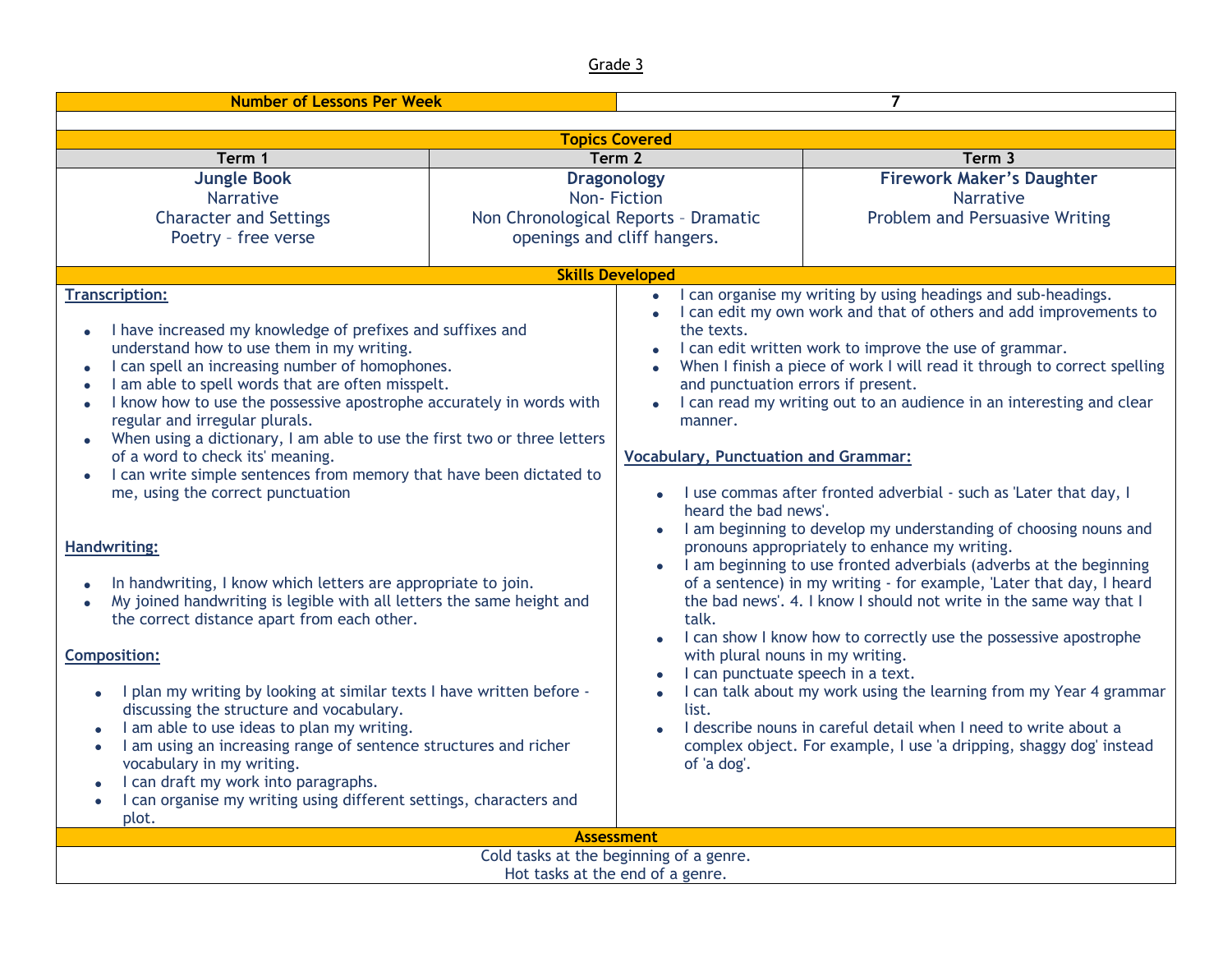| <b>Number of Lessons Per Week</b>                                                                                                                                                                                                                                                                                                                                                                                                                                                                                                                                                                                                                                                               |                   | $\overline{7}$                                                                                                                                                                                                                                                                                                                                                                                                                                                                                                                                                                                                                                                           |                                  |  |
|-------------------------------------------------------------------------------------------------------------------------------------------------------------------------------------------------------------------------------------------------------------------------------------------------------------------------------------------------------------------------------------------------------------------------------------------------------------------------------------------------------------------------------------------------------------------------------------------------------------------------------------------------------------------------------------------------|-------------------|--------------------------------------------------------------------------------------------------------------------------------------------------------------------------------------------------------------------------------------------------------------------------------------------------------------------------------------------------------------------------------------------------------------------------------------------------------------------------------------------------------------------------------------------------------------------------------------------------------------------------------------------------------------------------|----------------------------------|--|
|                                                                                                                                                                                                                                                                                                                                                                                                                                                                                                                                                                                                                                                                                                 |                   |                                                                                                                                                                                                                                                                                                                                                                                                                                                                                                                                                                                                                                                                          |                                  |  |
| <b>Topics Covered</b>                                                                                                                                                                                                                                                                                                                                                                                                                                                                                                                                                                                                                                                                           |                   |                                                                                                                                                                                                                                                                                                                                                                                                                                                                                                                                                                                                                                                                          |                                  |  |
| Term 1                                                                                                                                                                                                                                                                                                                                                                                                                                                                                                                                                                                                                                                                                          | Term <sub>2</sub> |                                                                                                                                                                                                                                                                                                                                                                                                                                                                                                                                                                                                                                                                          | Term 3                           |  |
| <b>Jungle Book</b>                                                                                                                                                                                                                                                                                                                                                                                                                                                                                                                                                                                                                                                                              |                   | <b>Dragonology</b>                                                                                                                                                                                                                                                                                                                                                                                                                                                                                                                                                                                                                                                       | <b>Firework Maker's Daughter</b> |  |
| <b>Narrative</b>                                                                                                                                                                                                                                                                                                                                                                                                                                                                                                                                                                                                                                                                                |                   | Non-Fiction                                                                                                                                                                                                                                                                                                                                                                                                                                                                                                                                                                                                                                                              | Narrative                        |  |
| <b>Character and Settings</b>                                                                                                                                                                                                                                                                                                                                                                                                                                                                                                                                                                                                                                                                   |                   | Non Chronological Reports - Dramatic                                                                                                                                                                                                                                                                                                                                                                                                                                                                                                                                                                                                                                     | Problem and Persuasive Writing   |  |
| Poetry - free verse                                                                                                                                                                                                                                                                                                                                                                                                                                                                                                                                                                                                                                                                             |                   | openings and cliff hangers.                                                                                                                                                                                                                                                                                                                                                                                                                                                                                                                                                                                                                                              |                                  |  |
|                                                                                                                                                                                                                                                                                                                                                                                                                                                                                                                                                                                                                                                                                                 |                   | <b>Skills Developed</b>                                                                                                                                                                                                                                                                                                                                                                                                                                                                                                                                                                                                                                                  |                                  |  |
| <b>Transcription:</b><br>I have increased my knowledge of prefixes and suffixes and<br>$\bullet$<br>understand how to use them in my writing.<br>I can spell an increasing number of homophones.<br>$\bullet$<br>I am able to spell words that are often misspelt.<br>I know how to use the possessive apostrophe accurately in words with<br>$\bullet$<br>regular and irregular plurals.<br>When using a dictionary, I am able to use the first two or three letters<br>$\bullet$<br>of a word to check its' meaning.<br>I can write simple sentences from memory that have been dictated to<br>me, using the correct punctuation                                                              |                   | I can organise my writing by using headings and sub-headings.<br>$\bullet$<br>I can edit my own work and that of others and add improvements to<br>$\bullet$<br>the texts.<br>I can edit written work to improve the use of grammar.<br>When I finish a piece of work I will read it through to correct spelling<br>and punctuation errors if present.<br>I can read my writing out to an audience in an interesting and clear<br>$\bullet$<br>manner.<br><b>Vocabulary, Punctuation and Grammar:</b><br>• I use commas after fronted adverbial - such as 'Later that day, I<br>heard the bad news'.<br>I am beginning to develop my understanding of choosing nouns and |                                  |  |
| <b>Handwriting:</b><br>In handwriting, I know which letters are appropriate to join.<br>My joined handwriting is legible with all letters the same height and<br>$\bullet$<br>the correct distance apart from each other.<br><b>Composition:</b><br>I plan my writing by looking at similar texts I have written before -<br>$\bullet$<br>discussing the structure and vocabulary.<br>I am able to use ideas to plan my writing.<br>$\bullet$<br>I am using an increasing range of sentence structures and richer<br>$\bullet$<br>vocabulary in my writing.<br>I can draft my work into paragraphs.<br>I can organise my writing using different settings, characters and<br>$\bullet$<br>plot. |                   | pronouns appropriately to enhance my writing.<br>I am beginning to use fronted adverbials (adverbs at the beginning<br>of a sentence) in my writing - for example, 'Later that day, I heard<br>the bad news'. 4. I know I should not write in the same way that I<br>talk.<br>I can show I know how to correctly use the possessive apostrophe<br>with plural nouns in my writing.<br>I can punctuate speech in a text.<br>I can talk about my work using the learning from my Year 4 grammar<br>list.<br>I describe nouns in careful detail when I need to write about a<br>complex object. For example, I use 'a dripping, shaggy dog' instead<br>of 'a dog'.          |                                  |  |
| <b>Assessment</b>                                                                                                                                                                                                                                                                                                                                                                                                                                                                                                                                                                                                                                                                               |                   |                                                                                                                                                                                                                                                                                                                                                                                                                                                                                                                                                                                                                                                                          |                                  |  |
| Cold tasks at the beginning of a genre.                                                                                                                                                                                                                                                                                                                                                                                                                                                                                                                                                                                                                                                         |                   |                                                                                                                                                                                                                                                                                                                                                                                                                                                                                                                                                                                                                                                                          |                                  |  |
| Hot tasks at the end of a genre.                                                                                                                                                                                                                                                                                                                                                                                                                                                                                                                                                                                                                                                                |                   |                                                                                                                                                                                                                                                                                                                                                                                                                                                                                                                                                                                                                                                                          |                                  |  |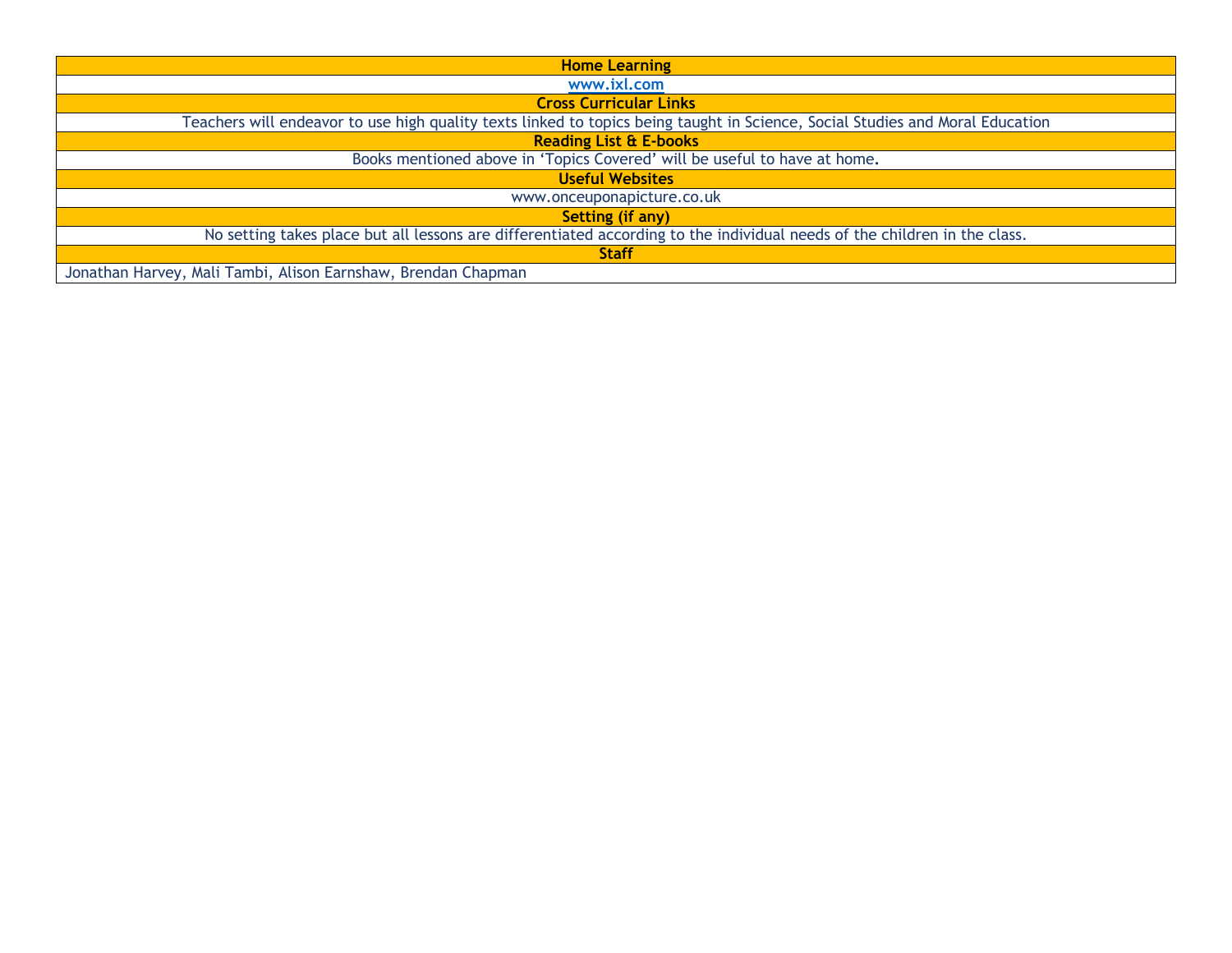| <b>Home Learning</b>                                                                                                          |
|-------------------------------------------------------------------------------------------------------------------------------|
| www.ixl.com                                                                                                                   |
| <b>Cross Curricular Links</b>                                                                                                 |
| Teachers will endeavor to use high quality texts linked to topics being taught in Science, Social Studies and Moral Education |
| <b>Reading List &amp; E-books</b>                                                                                             |
| Books mentioned above in 'Topics Covered' will be useful to have at home.                                                     |
| <b>Useful Websites</b>                                                                                                        |
| www.onceuponapicture.co.uk                                                                                                    |
| <b>Setting (if any)</b>                                                                                                       |
| No setting takes place but all lessons are differentiated according to the individual needs of the children in the class.     |
| <b>Staff</b>                                                                                                                  |
| Jonathan Harvey, Mali Tambi, Alison Earnshaw, Brendan Chapman                                                                 |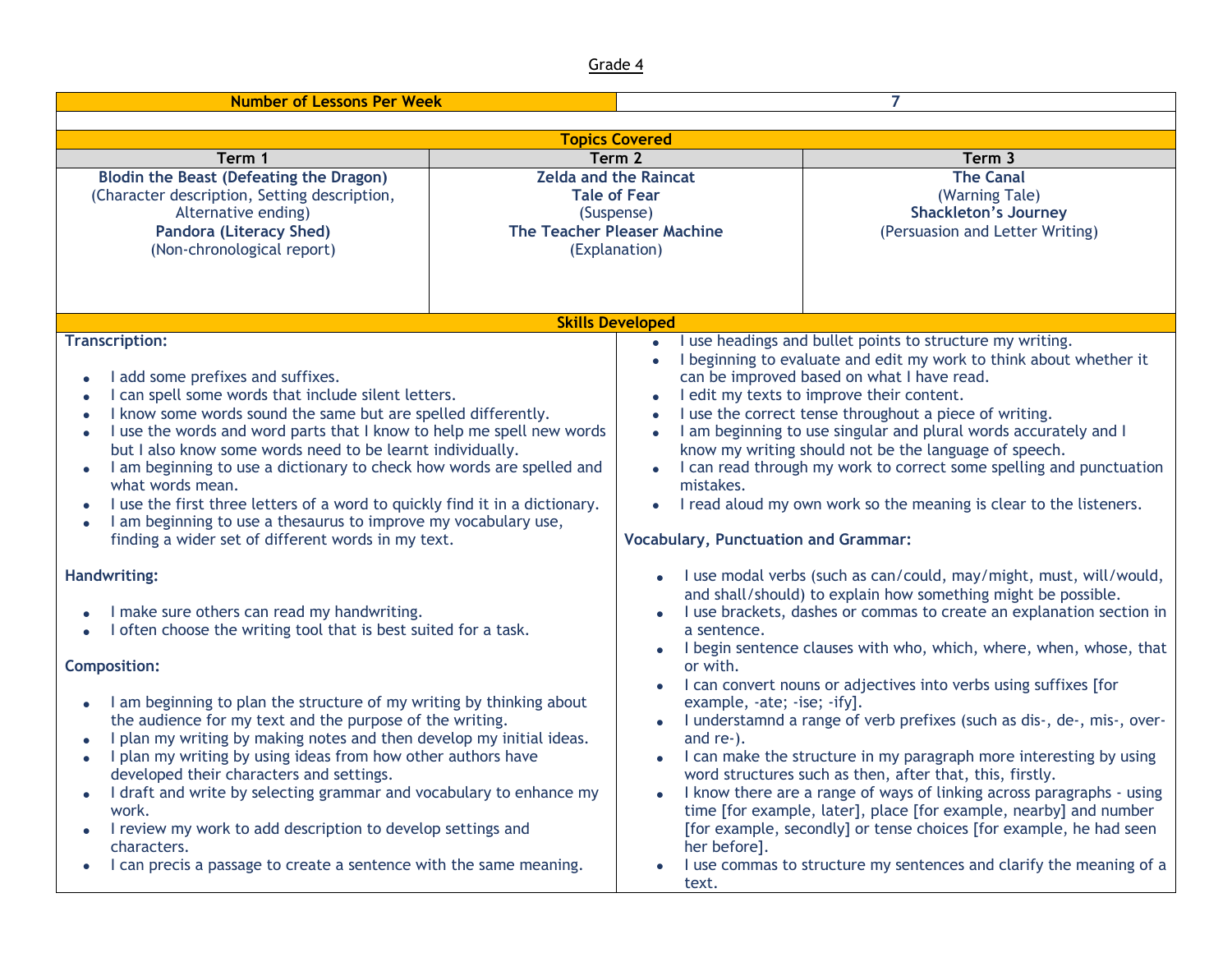| <b>Number of Lessons Per Week</b>                                                                                                                                                                                                                                                                                                                                                                                                                                                                                                                                                                                                                                                                                        |        |                                                                                                                                                                                                                                                                                                                                                                                                                                                                                                                                                                                                                                                                                                                                                                                  | 7                                                                                                                                                                                                                                                                                                                                                                                                                                                                                                                                                                                                                                                                                                                                                                                      |
|--------------------------------------------------------------------------------------------------------------------------------------------------------------------------------------------------------------------------------------------------------------------------------------------------------------------------------------------------------------------------------------------------------------------------------------------------------------------------------------------------------------------------------------------------------------------------------------------------------------------------------------------------------------------------------------------------------------------------|--------|----------------------------------------------------------------------------------------------------------------------------------------------------------------------------------------------------------------------------------------------------------------------------------------------------------------------------------------------------------------------------------------------------------------------------------------------------------------------------------------------------------------------------------------------------------------------------------------------------------------------------------------------------------------------------------------------------------------------------------------------------------------------------------|----------------------------------------------------------------------------------------------------------------------------------------------------------------------------------------------------------------------------------------------------------------------------------------------------------------------------------------------------------------------------------------------------------------------------------------------------------------------------------------------------------------------------------------------------------------------------------------------------------------------------------------------------------------------------------------------------------------------------------------------------------------------------------------|
|                                                                                                                                                                                                                                                                                                                                                                                                                                                                                                                                                                                                                                                                                                                          |        |                                                                                                                                                                                                                                                                                                                                                                                                                                                                                                                                                                                                                                                                                                                                                                                  |                                                                                                                                                                                                                                                                                                                                                                                                                                                                                                                                                                                                                                                                                                                                                                                        |
|                                                                                                                                                                                                                                                                                                                                                                                                                                                                                                                                                                                                                                                                                                                          |        | <b>Topics Covered</b>                                                                                                                                                                                                                                                                                                                                                                                                                                                                                                                                                                                                                                                                                                                                                            |                                                                                                                                                                                                                                                                                                                                                                                                                                                                                                                                                                                                                                                                                                                                                                                        |
| Term 1                                                                                                                                                                                                                                                                                                                                                                                                                                                                                                                                                                                                                                                                                                                   | Term 2 |                                                                                                                                                                                                                                                                                                                                                                                                                                                                                                                                                                                                                                                                                                                                                                                  | Term 3                                                                                                                                                                                                                                                                                                                                                                                                                                                                                                                                                                                                                                                                                                                                                                                 |
| <b>Blodin the Beast (Defeating the Dragon)</b><br>(Character description, Setting description,<br>Alternative ending)<br><b>Pandora (Literacy Shed)</b><br>(Non-chronological report)                                                                                                                                                                                                                                                                                                                                                                                                                                                                                                                                    |        | <b>Zelda and the Raincat</b><br><b>Tale of Fear</b><br>(Suspense)<br><b>The Teacher Pleaser Machine</b><br>(Explanation)                                                                                                                                                                                                                                                                                                                                                                                                                                                                                                                                                                                                                                                         | <b>The Canal</b><br>(Warning Tale)<br><b>Shackleton's Journey</b><br>(Persuasion and Letter Writing)                                                                                                                                                                                                                                                                                                                                                                                                                                                                                                                                                                                                                                                                                   |
|                                                                                                                                                                                                                                                                                                                                                                                                                                                                                                                                                                                                                                                                                                                          |        | <b>Skills Developed</b>                                                                                                                                                                                                                                                                                                                                                                                                                                                                                                                                                                                                                                                                                                                                                          |                                                                                                                                                                                                                                                                                                                                                                                                                                                                                                                                                                                                                                                                                                                                                                                        |
| <b>Transcription:</b><br>I add some prefixes and suffixes.<br>I can spell some words that include silent letters.<br>I know some words sound the same but are spelled differently.<br>I use the words and word parts that I know to help me spell new words<br>but I also know some words need to be learnt individually.<br>I am beginning to use a dictionary to check how words are spelled and<br>what words mean.<br>I use the first three letters of a word to quickly find it in a dictionary.<br>I am beginning to use a thesaurus to improve my vocabulary use,<br>finding a wider set of different words in my text.                                                                                           |        | I use headings and bullet points to structure my writing.<br>$\bullet$<br>I beginning to evaluate and edit my work to think about whether it<br>$\bullet$<br>can be improved based on what I have read.<br>I edit my texts to improve their content.<br>$\bullet$<br>I use the correct tense throughout a piece of writing.<br>I am beginning to use singular and plural words accurately and I<br>$\bullet$<br>know my writing should not be the language of speech.<br>I can read through my work to correct some spelling and punctuation<br>$\bullet$<br>mistakes.<br>I read aloud my own work so the meaning is clear to the listeners.<br>$\bullet$<br><b>Vocabulary, Punctuation and Grammar:</b><br>• I use modal verbs (such as can/could, may/might, must, will/would, |                                                                                                                                                                                                                                                                                                                                                                                                                                                                                                                                                                                                                                                                                                                                                                                        |
| <b>Handwriting:</b><br>I make sure others can read my handwriting.<br>I often choose the writing tool that is best suited for a task.<br><b>Composition:</b><br>I am beginning to plan the structure of my writing by thinking about<br>the audience for my text and the purpose of the writing.<br>I plan my writing by making notes and then develop my initial ideas.<br>I plan my writing by using ideas from how other authors have<br>developed their characters and settings.<br>I draft and write by selecting grammar and vocabulary to enhance my<br>work.<br>I review my work to add description to develop settings and<br>characters.<br>I can precis a passage to create a sentence with the same meaning. |        | a sentence.<br>or with.<br>$\bullet$<br>example, -ate; -ise; -ify].<br>and re-).<br>her before].<br>text.                                                                                                                                                                                                                                                                                                                                                                                                                                                                                                                                                                                                                                                                        | and shall/should) to explain how something might be possible.<br>I use brackets, dashes or commas to create an explanation section in<br>I begin sentence clauses with who, which, where, when, whose, that<br>I can convert nouns or adjectives into verbs using suffixes [for<br>I understamnd a range of verb prefixes (such as dis-, de-, mis-, over-<br>I can make the structure in my paragraph more interesting by using<br>word structures such as then, after that, this, firstly.<br>I know there are a range of ways of linking across paragraphs - using<br>time [for example, later], place [for example, nearby] and number<br>[for example, secondly] or tense choices [for example, he had seen<br>I use commas to structure my sentences and clarify the meaning of a |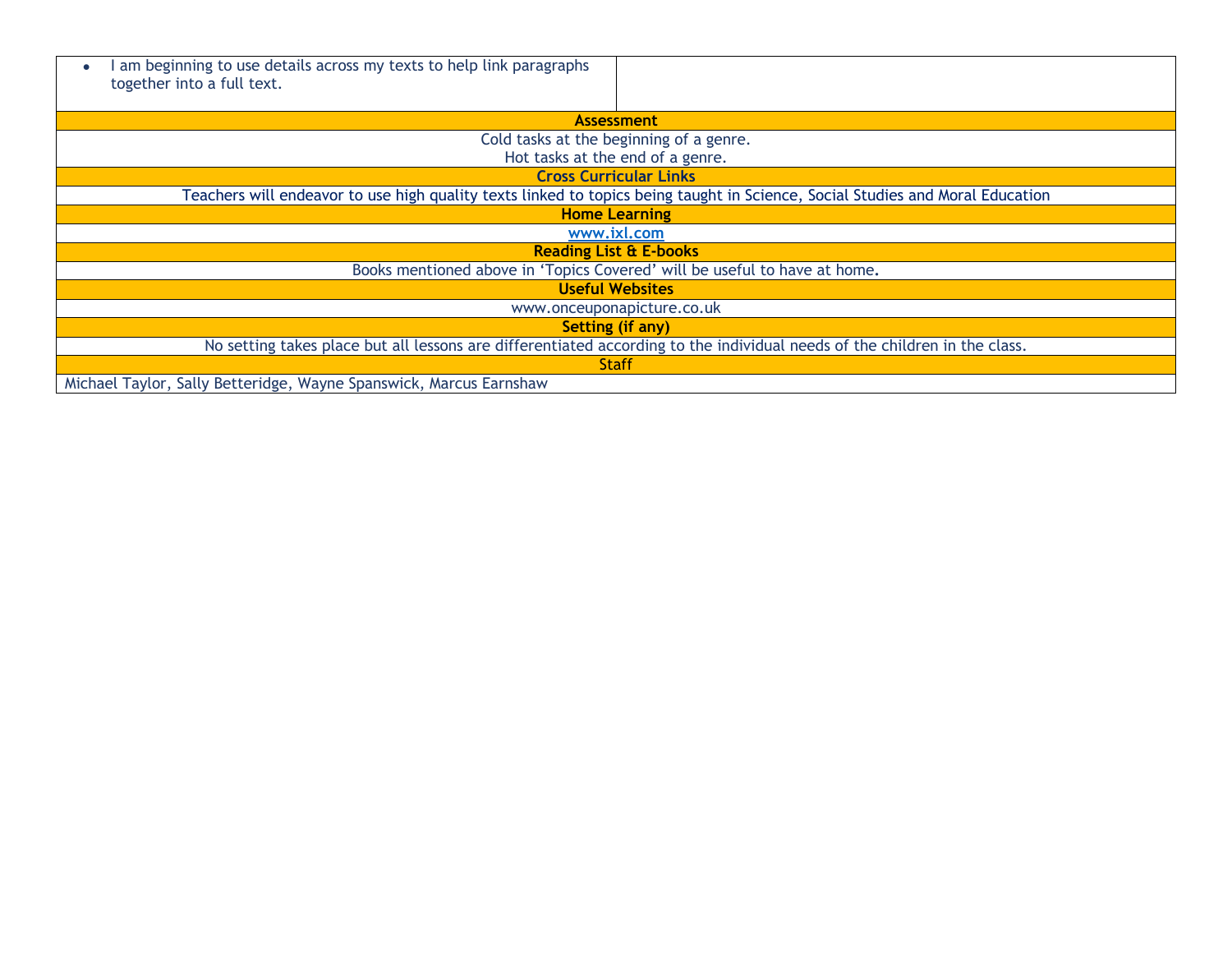| am beginning to use details across my texts to help link paragraphs<br>together into a full text.                         |                                                                                                                               |  |
|---------------------------------------------------------------------------------------------------------------------------|-------------------------------------------------------------------------------------------------------------------------------|--|
|                                                                                                                           | <b>Assessment</b>                                                                                                             |  |
| Cold tasks at the beginning of a genre.                                                                                   |                                                                                                                               |  |
| Hot tasks at the end of a genre.                                                                                          |                                                                                                                               |  |
|                                                                                                                           | <b>Cross Curricular Links</b>                                                                                                 |  |
|                                                                                                                           | Teachers will endeavor to use high quality texts linked to topics being taught in Science, Social Studies and Moral Education |  |
| <b>Home Learning</b>                                                                                                      |                                                                                                                               |  |
|                                                                                                                           | www.ixl.com                                                                                                                   |  |
| <b>Reading List &amp; E-books</b>                                                                                         |                                                                                                                               |  |
| Books mentioned above in 'Topics Covered' will be useful to have at home.                                                 |                                                                                                                               |  |
| <b>Useful Websites</b>                                                                                                    |                                                                                                                               |  |
|                                                                                                                           | www.onceuponapicture.co.uk                                                                                                    |  |
|                                                                                                                           | <b>Setting (if any)</b>                                                                                                       |  |
| No setting takes place but all lessons are differentiated according to the individual needs of the children in the class. |                                                                                                                               |  |
|                                                                                                                           | <b>Staff</b>                                                                                                                  |  |
| Michael Taylor, Sally Betteridge, Wayne Spanswick, Marcus Earnshaw                                                        |                                                                                                                               |  |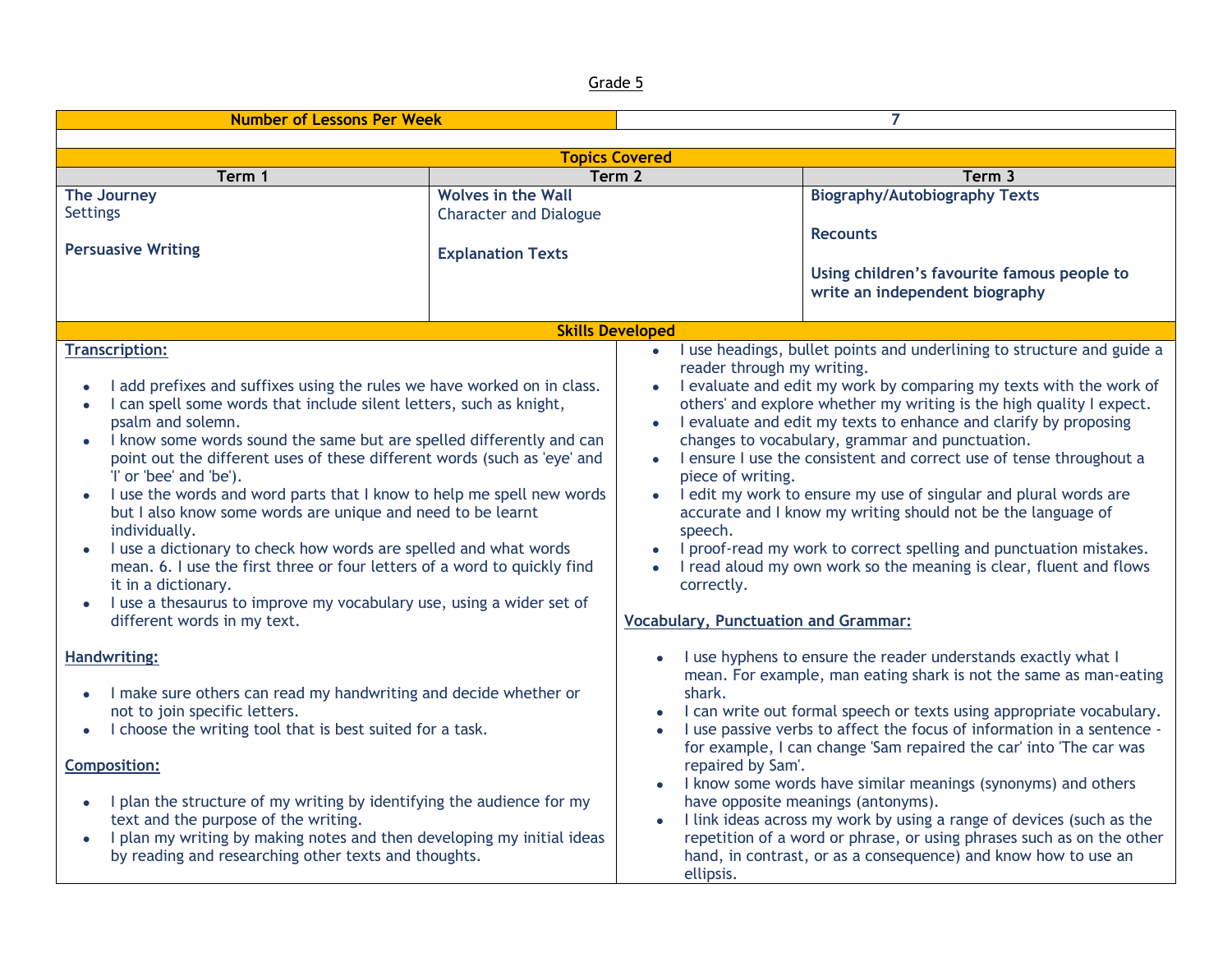| <b>Number of Lessons Per Week</b>                                                                                                                                                                                                                                                                                                                                                                                                                                                                                                                                                                                                                                                                                                                                                                                               |                               | 7                                                                                                                                                                           |                                                                                                                                                                                                                                                                                                                                                                                                                                                                                                                                                                                                                                                                                                      |
|---------------------------------------------------------------------------------------------------------------------------------------------------------------------------------------------------------------------------------------------------------------------------------------------------------------------------------------------------------------------------------------------------------------------------------------------------------------------------------------------------------------------------------------------------------------------------------------------------------------------------------------------------------------------------------------------------------------------------------------------------------------------------------------------------------------------------------|-------------------------------|-----------------------------------------------------------------------------------------------------------------------------------------------------------------------------|------------------------------------------------------------------------------------------------------------------------------------------------------------------------------------------------------------------------------------------------------------------------------------------------------------------------------------------------------------------------------------------------------------------------------------------------------------------------------------------------------------------------------------------------------------------------------------------------------------------------------------------------------------------------------------------------------|
|                                                                                                                                                                                                                                                                                                                                                                                                                                                                                                                                                                                                                                                                                                                                                                                                                                 |                               |                                                                                                                                                                             |                                                                                                                                                                                                                                                                                                                                                                                                                                                                                                                                                                                                                                                                                                      |
|                                                                                                                                                                                                                                                                                                                                                                                                                                                                                                                                                                                                                                                                                                                                                                                                                                 | <b>Topics Covered</b>         |                                                                                                                                                                             |                                                                                                                                                                                                                                                                                                                                                                                                                                                                                                                                                                                                                                                                                                      |
| Term 1                                                                                                                                                                                                                                                                                                                                                                                                                                                                                                                                                                                                                                                                                                                                                                                                                          | Term 2                        |                                                                                                                                                                             | Term 3                                                                                                                                                                                                                                                                                                                                                                                                                                                                                                                                                                                                                                                                                               |
| The Journey                                                                                                                                                                                                                                                                                                                                                                                                                                                                                                                                                                                                                                                                                                                                                                                                                     | <b>Wolves in the Wall</b>     |                                                                                                                                                                             | <b>Biography/Autobiography Texts</b>                                                                                                                                                                                                                                                                                                                                                                                                                                                                                                                                                                                                                                                                 |
| <b>Settings</b>                                                                                                                                                                                                                                                                                                                                                                                                                                                                                                                                                                                                                                                                                                                                                                                                                 | <b>Character and Dialogue</b> |                                                                                                                                                                             |                                                                                                                                                                                                                                                                                                                                                                                                                                                                                                                                                                                                                                                                                                      |
| <b>Persuasive Writing</b>                                                                                                                                                                                                                                                                                                                                                                                                                                                                                                                                                                                                                                                                                                                                                                                                       | <b>Explanation Texts</b>      |                                                                                                                                                                             | <b>Recounts</b><br>Using children's favourite famous people to<br>write an independent biography                                                                                                                                                                                                                                                                                                                                                                                                                                                                                                                                                                                                     |
|                                                                                                                                                                                                                                                                                                                                                                                                                                                                                                                                                                                                                                                                                                                                                                                                                                 | <b>Skills Developed</b>       |                                                                                                                                                                             |                                                                                                                                                                                                                                                                                                                                                                                                                                                                                                                                                                                                                                                                                                      |
| <b>Transcription:</b><br>I add prefixes and suffixes using the rules we have worked on in class.<br>I can spell some words that include silent letters, such as knight,<br>$\bullet$<br>psalm and solemn.<br>I know some words sound the same but are spelled differently and can<br>point out the different uses of these different words (such as 'eye' and<br>'I' or 'bee' and 'be').<br>I use the words and word parts that I know to help me spell new words<br>but I also know some words are unique and need to be learnt<br>individually.<br>I use a dictionary to check how words are spelled and what words<br>mean. 6. I use the first three or four letters of a word to quickly find<br>it in a dictionary.<br>I use a thesaurus to improve my vocabulary use, using a wider set of<br>different words in my text. |                               | $\bullet$<br>reader through my writing.<br>$\bullet$<br>$\bullet$<br>piece of writing.<br>$\bullet$<br>speech.<br>correctly.<br><b>Vocabulary, Punctuation and Grammar:</b> | I use headings, bullet points and underlining to structure and guide a<br>• I evaluate and edit my work by comparing my texts with the work of<br>others' and explore whether my writing is the high quality I expect.<br>I evaluate and edit my texts to enhance and clarify by proposing<br>changes to vocabulary, grammar and punctuation.<br>I ensure I use the consistent and correct use of tense throughout a<br>I edit my work to ensure my use of singular and plural words are<br>accurate and I know my writing should not be the language of<br>I proof-read my work to correct spelling and punctuation mistakes.<br>I read aloud my own work so the meaning is clear, fluent and flows |
| <b>Handwriting:</b><br>I make sure others can read my handwriting and decide whether or<br>not to join specific letters.<br>I choose the writing tool that is best suited for a task.<br><b>Composition:</b><br>I plan the structure of my writing by identifying the audience for my<br>text and the purpose of the writing.<br>I plan my writing by making notes and then developing my initial ideas<br>by reading and researching other texts and thoughts.                                                                                                                                                                                                                                                                                                                                                                 |                               | shark.<br>repaired by Sam'.<br>$\bullet$<br>ellipsis.                                                                                                                       | I use hyphens to ensure the reader understands exactly what I<br>mean. For example, man eating shark is not the same as man-eating<br>I can write out formal speech or texts using appropriate vocabulary.<br>I use passive verbs to affect the focus of information in a sentence -<br>for example, I can change 'Sam repaired the car' into 'The car was<br>I know some words have similar meanings (synonyms) and others<br>have opposite meanings (antonyms).<br>I link ideas across my work by using a range of devices (such as the<br>repetition of a word or phrase, or using phrases such as on the other<br>hand, in contrast, or as a consequence) and know how to use an                 |